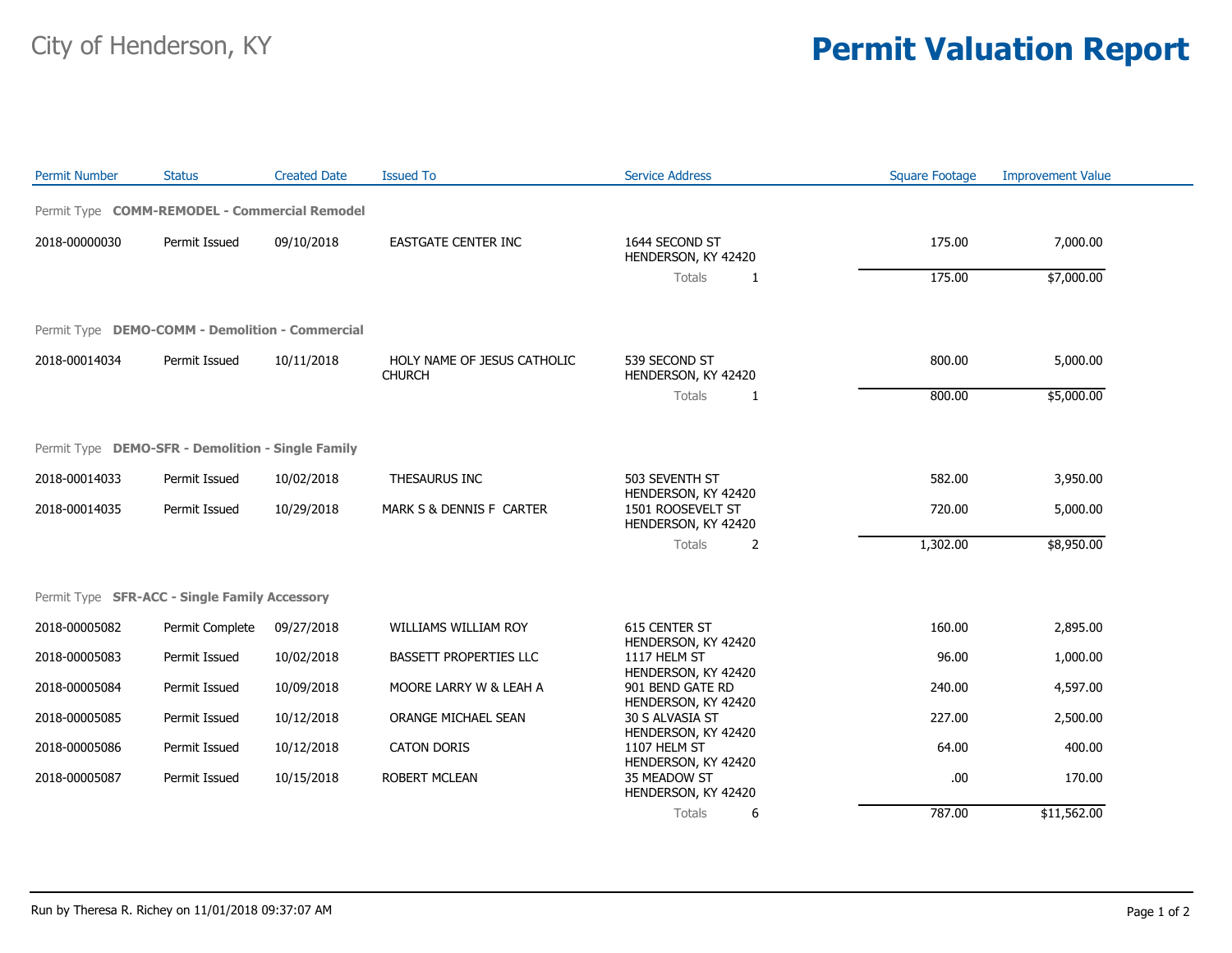## City of Henderson, KY **Permit Valuation Report**

| <b>Permit Number</b> | <b>Status</b>                                     | <b>Created Date</b> | <b>Issued To</b>                             | <b>Service Address</b>                                          | <b>Square Footage</b> | <b>Improvement Value</b> |
|----------------------|---------------------------------------------------|---------------------|----------------------------------------------|-----------------------------------------------------------------|-----------------------|--------------------------|
|                      | Permit Type COMM-REMODEL - Commercial Remodel     |                     |                                              |                                                                 |                       |                          |
| 2018-00000030        | Permit Issued                                     | 09/10/2018          | <b>EASTGATE CENTER INC</b>                   | 1644 SECOND ST<br>HENDERSON, KY 42420                           | 175.00                | 7,000.00                 |
|                      |                                                   |                     |                                              | Totals<br>1                                                     | 175.00                | \$7,000.00               |
|                      | Permit Type DEMO-COMM - Demolition - Commercial   |                     |                                              |                                                                 |                       |                          |
| 2018-00014034        | Permit Issued                                     | 10/11/2018          | HOLY NAME OF JESUS CATHOLIC<br><b>CHURCH</b> | 539 SECOND ST<br>HENDERSON, KY 42420                            | 800.00                | 5,000.00                 |
|                      |                                                   |                     |                                              | Totals<br>$\mathbf{1}$                                          | 800.00                | \$5,000.00               |
|                      | Permit Type DEMO-SFR - Demolition - Single Family |                     |                                              |                                                                 |                       |                          |
| 2018-00014033        | Permit Issued                                     | 10/02/2018          | THESAURUS INC                                | 503 SEVENTH ST                                                  | 582.00                | 3,950.00                 |
| 2018-00014035        | Permit Issued                                     | 10/29/2018          | MARK S & DENNIS F CARTER                     | HENDERSON, KY 42420<br>1501 ROOSEVELT ST<br>HENDERSON, KY 42420 | 720.00                | 5,000.00                 |
|                      |                                                   |                     |                                              | 2<br>Totals                                                     | 1,302.00              | \$8,950.00               |
|                      | Permit Type SFR-ACC - Single Family Accessory     |                     |                                              |                                                                 |                       |                          |
| 2018-00005082        | Permit Complete                                   | 09/27/2018          | <b>WILLIAMS WILLIAM ROY</b>                  | 615 CENTER ST<br>HENDERSON, KY 42420                            | 160.00                | 2,895.00                 |
| 2018-00005083        | Permit Issued                                     | 10/02/2018          | BASSETT PROPERTIES LLC                       | 1117 HELM ST<br>HENDERSON, KY 42420                             | 96.00                 | 1,000.00                 |
| 2018-00005084        | Permit Issued                                     | 10/09/2018          | MOORE LARRY W & LEAH A                       | 901 BEND GATE RD<br>HENDERSON, KY 42420                         | 240.00                | 4,597.00                 |
| 2018-00005085        | Permit Issued                                     | 10/12/2018          | ORANGE MICHAEL SEAN                          | 30 S ALVASIA ST<br>HENDERSON, KY 42420                          | 227.00                | 2,500.00                 |
| 2018-00005086        | Permit Issued                                     | 10/12/2018          | <b>CATON DORIS</b>                           | 1107 HELM ST<br>HENDERSON, KY 42420                             | 64.00                 | 400.00                   |
| 2018-00005087        | Permit Issued                                     | 10/15/2018          | <b>ROBERT MCLEAN</b>                         | 35 MEADOW ST<br>HENDERSON, KY 42420                             | .00.                  | 170.00                   |
|                      |                                                   |                     |                                              | Totals<br>6                                                     | 787.00                | \$11,562.00              |